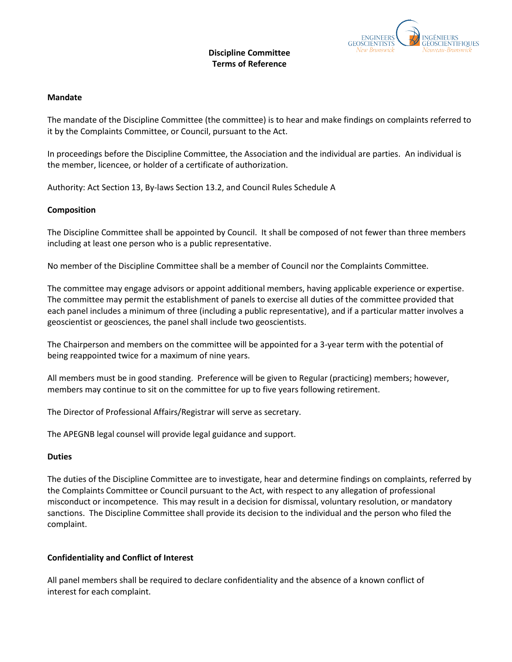

# **Discipline Committee Terms of Reference**

## **Mandate**

The mandate of the Discipline Committee (the committee) is to hear and make findings on complaints referred to it by the Complaints Committee, or Council, pursuant to the Act.

In proceedings before the Discipline Committee, the Association and the individual are parties. An individual is the member, licencee, or holder of a certificate of authorization.

Authority: Act Section 13, By-laws Section 13.2, and Council Rules Schedule A

## **Composition**

The Discipline Committee shall be appointed by Council. It shall be composed of not fewer than three members including at least one person who is a public representative.

No member of the Discipline Committee shall be a member of Council nor the Complaints Committee.

The committee may engage advisors or appoint additional members, having applicable experience or expertise. The committee may permit the establishment of panels to exercise all duties of the committee provided that each panel includes a minimum of three (including a public representative), and if a particular matter involves a geoscientist or geosciences, the panel shall include two geoscientists.

The Chairperson and members on the committee will be appointed for a 3-year term with the potential of being reappointed twice for a maximum of nine years.

All members must be in good standing. Preference will be given to Regular (practicing) members; however, members may continue to sit on the committee for up to five years following retirement.

The Director of Professional Affairs/Registrar will serve as secretary.

The APEGNB legal counsel will provide legal guidance and support.

#### **Duties**

The duties of the Discipline Committee are to investigate, hear and determine findings on complaints, referred by the Complaints Committee or Council pursuant to the Act, with respect to any allegation of professional misconduct or incompetence. This may result in a decision for dismissal, voluntary resolution, or mandatory sanctions. The Discipline Committee shall provide its decision to the individual and the person who filed the complaint.

## **Confidentiality and Conflict of Interest**

All panel members shall be required to declare confidentiality and the absence of a known conflict of interest for each complaint.